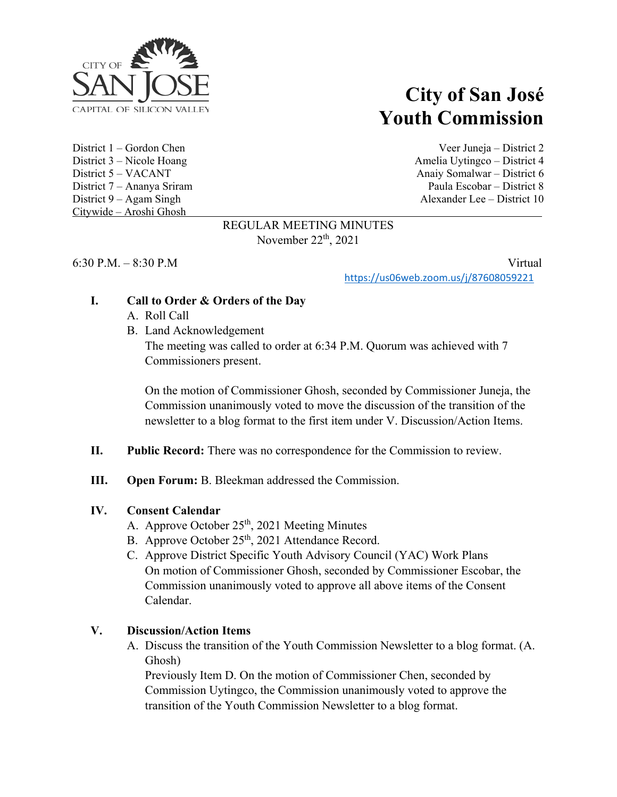

Citywide – Aroshi Ghosh

# **City of San José Youth Commission**

District 1 – Gordon Chen Veer Juneja – District 2 District 3 – Nicole Hoang Amelia Uytingco – District 4 District 5 – VACANT Anaiy Somalwar – District 6 District 7 – Ananya Sriram Paula Escobar – District 8 District 9 – Agam Singh Alexander Lee – District 10

#### REGULAR MEETING MINUTES November  $22<sup>th</sup>$ ,  $2021$

6:30 P.M. – 8:30 P.M Virtual

<https://us06web.zoom.us/j/87608059221>

## **I. Call to Order & Orders of the Day**

- A. Roll Call
- B. Land Acknowledgement

The meeting was called to order at 6:34 P.M. Quorum was achieved with 7 Commissioners present.

On the motion of Commissioner Ghosh, seconded by Commissioner Juneja, the Commission unanimously voted to move the discussion of the transition of the newsletter to a blog format to the first item under V. Discussion/Action Items.

#### **II. Public Record:** There was no correspondence for the Commission to review.

**III. Open Forum:** B. Bleekman addressed the Commission.

## **IV. Consent Calendar**

- A. Approve October 25<sup>th</sup>, 2021 Meeting Minutes
- B. Approve October 25<sup>th</sup>, 2021 Attendance Record.
- C. Approve District Specific Youth Advisory Council (YAC) Work Plans On motion of Commissioner Ghosh, seconded by Commissioner Escobar, the Commission unanimously voted to approve all above items of the Consent Calendar.

## **V. Discussion/Action Items**

A. Discuss the transition of the Youth Commission Newsletter to a blog format. (A. Ghosh)

Previously Item D. On the motion of Commissioner Chen, seconded by Commission Uytingco, the Commission unanimously voted to approve the transition of the Youth Commission Newsletter to a blog format.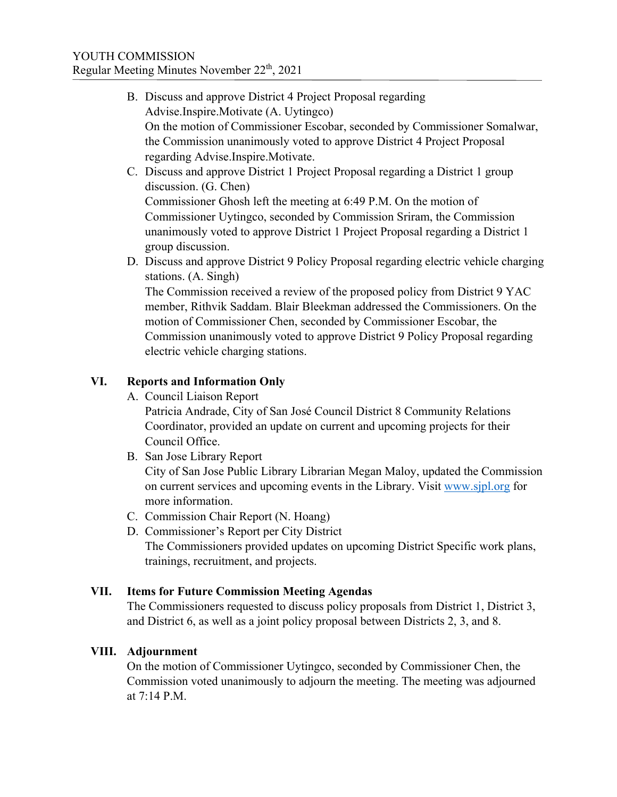- B. Discuss and approve District 4 Project Proposal regarding Advise.Inspire.Motivate (A. Uytingco) On the motion of Commissioner Escobar, seconded by Commissioner Somalwar, the Commission unanimously voted to approve District 4 Project Proposal regarding Advise.Inspire.Motivate.
- C. Discuss and approve District 1 Project Proposal regarding a District 1 group discussion. (G. Chen) Commissioner Ghosh left the meeting at 6:49 P.M. On the motion of Commissioner Uytingco, seconded by Commission Sriram, the Commission unanimously voted to approve District 1 Project Proposal regarding a District 1 group discussion.
- D. Discuss and approve District 9 Policy Proposal regarding electric vehicle charging stations. (A. Singh)

The Commission received a review of the proposed policy from District 9 YAC member, Rithvik Saddam. Blair Bleekman addressed the Commissioners. On the motion of Commissioner Chen, seconded by Commissioner Escobar, the Commission unanimously voted to approve District 9 Policy Proposal regarding electric vehicle charging stations.

# **VI. Reports and Information Only**

A. Council Liaison Report

Patricia Andrade, City of San José Council District 8 Community Relations Coordinator, provided an update on current and upcoming projects for their Council Office.

B. San Jose Library Report

City of San Jose Public Library Librarian Megan Maloy, updated the Commission on current services and upcoming events in the Library. Visit [www.sjpl.org](http://www.sjpl.org/) for more information.

- C. Commission Chair Report (N. Hoang)
- D. Commissioner's Report per City District The Commissioners provided updates on upcoming District Specific work plans, trainings, recruitment, and projects.

# **VII. Items for Future Commission Meeting Agendas**

The Commissioners requested to discuss policy proposals from District 1, District 3, and District 6, as well as a joint policy proposal between Districts 2, 3, and 8.

# **VIII. Adjournment**

On the motion of Commissioner Uytingco, seconded by Commissioner Chen, the Commission voted unanimously to adjourn the meeting. The meeting was adjourned at 7:14 P.M.